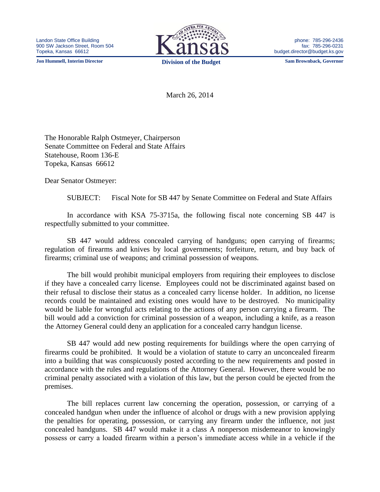**Jon Hummell, Interim Director Division of the Budget Sam Brownback, Governor**



phone: 785-296-2436 fax: 785-296-0231 budget.director@budget.ks.gov

March 26, 2014

The Honorable Ralph Ostmeyer, Chairperson Senate Committee on Federal and State Affairs Statehouse, Room 136-E Topeka, Kansas 66612

Dear Senator Ostmeyer:

SUBJECT: Fiscal Note for SB 447 by Senate Committee on Federal and State Affairs

In accordance with KSA 75-3715a, the following fiscal note concerning SB 447 is respectfully submitted to your committee.

SB 447 would address concealed carrying of handguns; open carrying of firearms; regulation of firearms and knives by local governments; forfeiture, return, and buy back of firearms; criminal use of weapons; and criminal possession of weapons.

The bill would prohibit municipal employers from requiring their employees to disclose if they have a concealed carry license. Employees could not be discriminated against based on their refusal to disclose their status as a concealed carry license holder. In addition, no license records could be maintained and existing ones would have to be destroyed. No municipality would be liable for wrongful acts relating to the actions of any person carrying a firearm. The bill would add a conviction for criminal possession of a weapon, including a knife, as a reason the Attorney General could deny an application for a concealed carry handgun license.

SB 447 would add new posting requirements for buildings where the open carrying of firearms could be prohibited. It would be a violation of statute to carry an unconcealed firearm into a building that was conspicuously posted according to the new requirements and posted in accordance with the rules and regulations of the Attorney General. However, there would be no criminal penalty associated with a violation of this law, but the person could be ejected from the premises.

The bill replaces current law concerning the operation, possession, or carrying of a concealed handgun when under the influence of alcohol or drugs with a new provision applying the penalties for operating, possession, or carrying any firearm under the influence, not just concealed handguns. SB 447 would make it a class A nonperson misdemeanor to knowingly possess or carry a loaded firearm within a person's immediate access while in a vehicle if the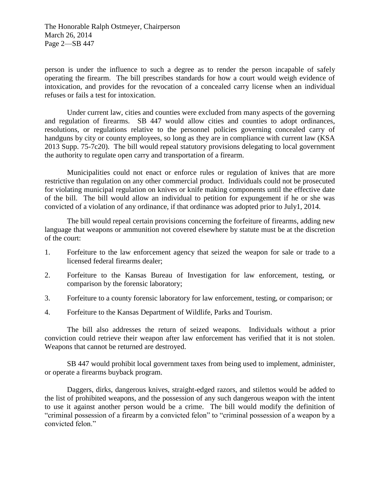The Honorable Ralph Ostmeyer, Chairperson March 26, 2014 Page 2—SB 447

person is under the influence to such a degree as to render the person incapable of safely operating the firearm. The bill prescribes standards for how a court would weigh evidence of intoxication, and provides for the revocation of a concealed carry license when an individual refuses or fails a test for intoxication.

Under current law, cities and counties were excluded from many aspects of the governing and regulation of firearms. SB 447 would allow cities and counties to adopt ordinances, resolutions, or regulations relative to the personnel policies governing concealed carry of handguns by city or county employees, so long as they are in compliance with current law (KSA 2013 Supp. 75-7c20). The bill would repeal statutory provisions delegating to local government the authority to regulate open carry and transportation of a firearm.

Municipalities could not enact or enforce rules or regulation of knives that are more restrictive than regulation on any other commercial product. Individuals could not be prosecuted for violating municipal regulation on knives or knife making components until the effective date of the bill. The bill would allow an individual to petition for expungement if he or she was convicted of a violation of any ordinance, if that ordinance was adopted prior to July1, 2014.

The bill would repeal certain provisions concerning the forfeiture of firearms, adding new language that weapons or ammunition not covered elsewhere by statute must be at the discretion of the court:

- 1. Forfeiture to the law enforcement agency that seized the weapon for sale or trade to a licensed federal firearms dealer;
- 2. Forfeiture to the Kansas Bureau of Investigation for law enforcement, testing, or comparison by the forensic laboratory;
- 3. Forfeiture to a county forensic laboratory for law enforcement, testing, or comparison; or
- 4. Forfeiture to the Kansas Department of Wildlife, Parks and Tourism.

The bill also addresses the return of seized weapons. Individuals without a prior conviction could retrieve their weapon after law enforcement has verified that it is not stolen. Weapons that cannot be returned are destroyed.

SB 447 would prohibit local government taxes from being used to implement, administer, or operate a firearms buyback program.

Daggers, dirks, dangerous knives, straight-edged razors, and stilettos would be added to the list of prohibited weapons, and the possession of any such dangerous weapon with the intent to use it against another person would be a crime. The bill would modify the definition of "criminal possession of a firearm by a convicted felon" to "criminal possession of a weapon by a convicted felon."